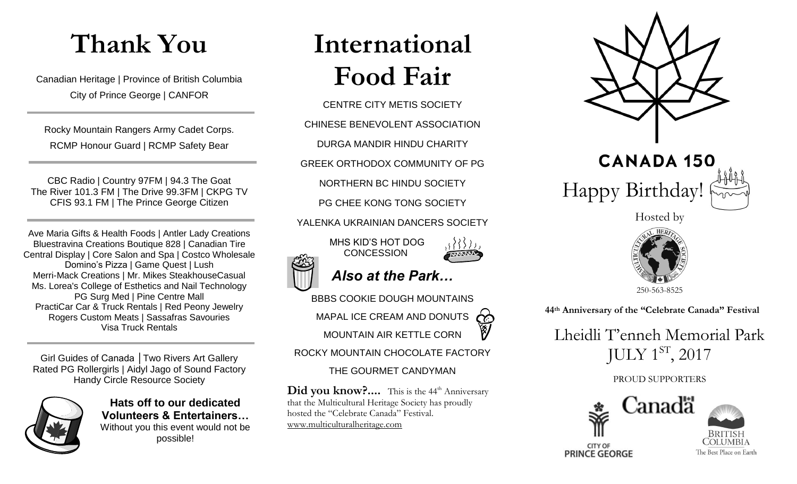# **Thank You**

Canadian Heritage | Province of British Columbia City of Prince George | CANFOR

Rocky Mountain Rangers Army Cadet Corps. RCMP Honour Guard | RCMP Safety Bear

CBC Radio | Country 97FM | 94.3 The Goat The River 101.3 FM | The Drive 99.3FM | CKPG TV CFIS 93.1 FM | The Prince George Citizen

Ave Maria Gifts & Health Foods | Antler Lady Creations Bluestravina Creations Boutique 828 | Canadian Tire Central Display | Core Salon and Spa | Costco Wholesale Domino's Pizza | Game Quest | Lush Merri-Mack Creations | Mr. Mikes SteakhouseCasual Ms. Lorea's College of Esthetics and Nail Technology PG Surg Med | Pine Centre Mall PractiCar Car & Truck Rentals | Red Peony Jewelry Rogers Custom Meats | Sassafras Savouries Visa Truck Rentals

Girl Guides of Canada │Two Rivers Art Gallery Rated PG Rollergirls | Aidyl Jago of Sound Factory Handy Circle Resource Society



**Hats off to our dedicated Volunteers & Entertainers…** Without you this event would not be possible!

# **International Food Fair**

CENTRE CITY METIS SOCIETY CHINESE BENEVOLENT ASSOCIATION DURGA MANDIR HINDU CHARITY GREEK ORTHODOX COMMUNITY OF PG NORTHERN BC HINDU SOCIETY PG CHEE KONG TONG SOCIETY YALENKA UKRAINIAN DANCERS SOCIETY MHS KID'S HOT DOG **CONCESSION** 



BBBS COOKIE DOUGH MOUNTAINS MAPAL ICE CREAM AND DONUTS  $\bigcirc$ MOUNTAIN AIR KETTLE CORN

ROCKY MOUNTAIN CHOCOLATE FACTORY

#### THE GOURMET CANDYMAN

Did you know?.... This is the 44<sup>th</sup> Anniversary that the Multicultural Heritage Society has proudly hosted the "Celebrate Canada" Festival. [www.multiculturalheritage.com](http://www.multiculturalheritage.com/)





Hosted by



 **44 th Anniversary of the "Celebrate Canada" Festival**

Lheidli T'enneh Memorial Park JULY  $1^{ST}$ , 2017

#### PROUD SUPPORTERS



**OLUMBIA** The Best Place on Earth

**CITY OF PRINCE GEORGE**